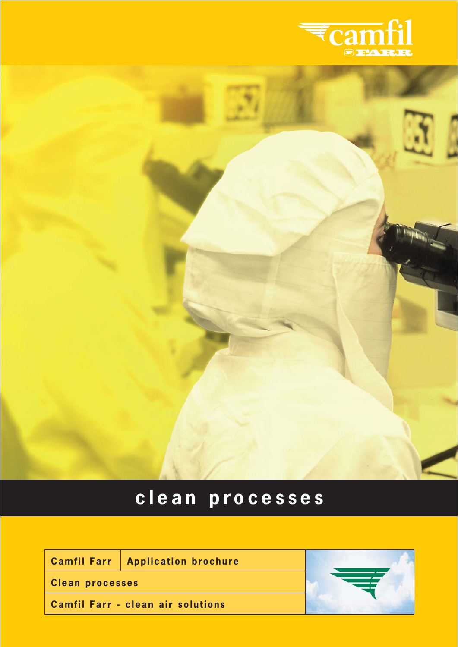



# **clean processes**

|                        | <b>Camfil Farr   Application brochure</b> |  |
|------------------------|-------------------------------------------|--|
| <b>Clean processes</b> |                                           |  |
|                        | <b>Camfil Farr - clean air solutions</b>  |  |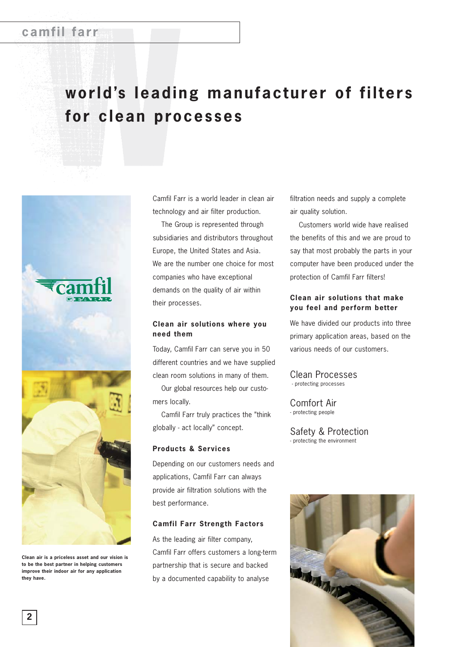## **world's leading manufacturer of filters for clean processes**



**Clean air is a priceless asset and our vision is to be the best partner in helping customers improve their indoor air for any application they have.**

Camfil Farr is a world leader in clean air technology and air filter production.

The Group is represented through subsidiaries and distributors throughout Europe, the United States and Asia. We are the number one choice for most companies who have exceptional demands on the quality of air within their processes.

#### **Clean air solutions where you need them**

Today, Camfil Farr can serve you in 50 different countries and we have supplied clean room solutions in many of them. Our global resources help our custo-

mers locally.

Camfil Farr truly practices the "think globally - act locally" concept.

#### **Products & Services**

Depending on our customers needs and applications, Camfil Farr can always provide air filtration solutions with the best performance.

#### **Camfil Farr Strength Factors**

As the leading air filter company, Camfil Farr offers customers a long-term partnership that is secure and backed by a documented capability to analyse

filtration needs and supply a complete air quality solution.

Customers world wide have realised the benefits of this and we are proud to say that most probably the parts in your computer have been produced under the protection of Camfil Farr filters!

### **Clean air solutions that make you feel and perform better**

We have divided our products into three primary application areas, based on the various needs of our customers.

Clean Processes - protecting processes

Comfort Air - protecting people

Safety & Protection - protecting the environment

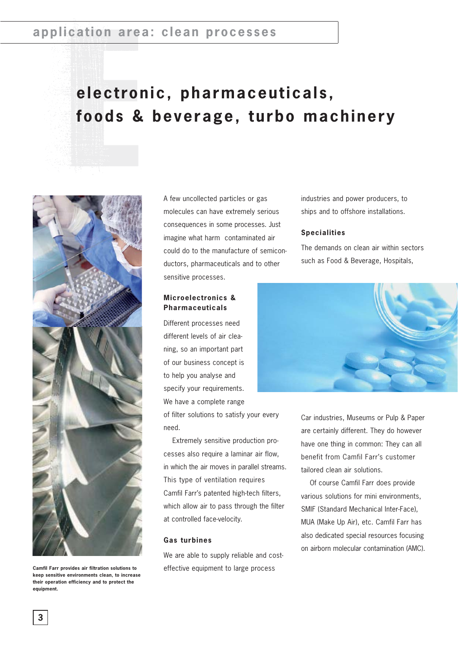# **electronic, pharmaceuticals, foods & beverage, turbo machinery**



**Camfil Farr provides air filtration solutions to keep sensitive environments clean, to increase their operation efficiency and to protect the equipment.**

A few uncollected particles or gas molecules can have extremely serious consequences in some processes. Just imagine what harm contaminated air could do to the manufacture of semiconductors, pharmaceuticals and to other sensitive processes.

### **Microelectronics & Pharmaceuticals**

Different processes need different levels of air cleaning, so an important part of our business concept is to help you analyse and specify your requirements. We have a complete range

of filter solutions to satisfy your every need.

Extremely sensitive production processes also require a laminar air flow, in which the air moves in parallel streams. This type of ventilation requires Camfil Farr's patented high-tech filters, which allow air to pass through the filter at controlled face-velocity.

#### **Gas turbines**

We are able to supply reliable and costeffective equipment to large process

industries and power producers, to ships and to offshore installations.

#### **Specialities**

The demands on clean air within sectors such as Food & Beverage, Hospitals,



Car industries, Museums or Pulp & Paper are certainly different. They do however have one thing in common: They can all benefit from Camfil Farr's customer tailored clean air solutions.

Of course Camfil Farr does provide various solutions for mini environments, SMIF (Standard Mechanical Inter-Face), MUA (Make Up Air), etc. Camfil Farr has also dedicated special resources focusing on airborn molecular contamination (AMC).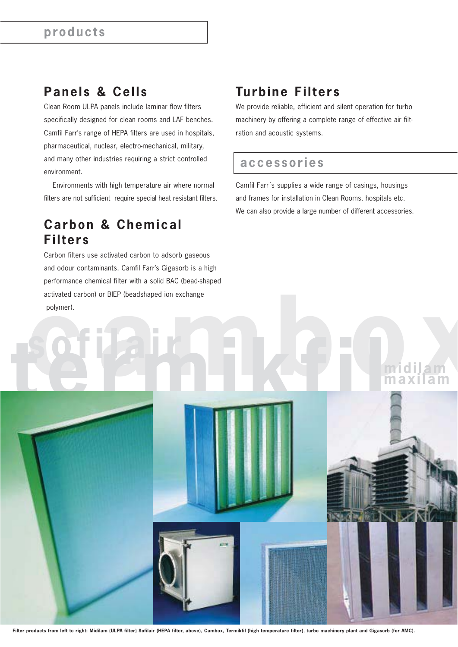## **Panels & Cells**

Clean Room ULPA panels include laminar flow filters specifically designed for clean rooms and LAF benches. Camfil Farr's range of HEPA filters are used in hospitals, pharmaceutical, nuclear, electro-mechanical, military, and many other industries requiring a strict controlled environment.

Environments with high temperature air where normal filters are not sufficient require special heat resistant filters.

## **Carbon & Chemical Filters**

activated carbon) or BIEP (beadshaped ion exchange<br>
polymer).<br> **the COM**<br> **the COM**<br> **comparison of the comparison of the comparison of the comparison of the comparison of the comparison of the comparison of the comparison** Carbon filters use activated carbon to adsorb gaseous and odour contaminants. Camfil Farr's Gigasorb is a high performance chemical filter with a solid BAC (bead-shaped activated carbon) or BIEP (beadshaped ion exchange polymer).

## **Turbine Filters**

We provide reliable, efficient and silent operation for turbo machinery by offering a complete range of effective air filtration and acoustic systems.

## **accessories**

Camfil Farr´s supplies a wide range of casings, housings and frames for installation in Clean Rooms, hospitals etc. We can also provide a large number of different accessories.

# **midilam maxilam x**

**Filter products from left to right: Midilam (ULPA filter) Sofilair (HEPA filter, above), Cambox, Termikfil (high temperature filter), turbo machinery plant and Gigasorb (for AMC).**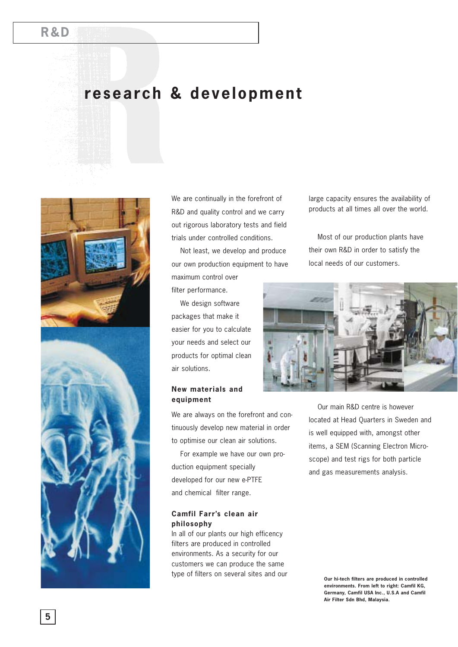## **R&D**

## **research & development**





We are continually in the forefront of R&D and quality control and we carry out rigorous laboratory tests and field trials under controlled conditions.

Not least, we develop and produce our own production equipment to have maximum control over

filter performance.

We design software packages that make it easier for you to calculate your needs and select our products for optimal clean air solutions.

## **New materials and equipment**

We are always on the forefront and continuously develop new material in order to optimise our clean air solutions.

For example we have our own production equipment specially developed for our new e-PTFE and chemical filter range.

#### **Camfil Farr's clean air philosophy**

In all of our plants our high efficency filters are produced in controlled environments. As a security for our customers we can produce the same type of filters on several sites and our large capacity ensures the availability of products at all times all over the world.

Most of our production plants have their own R&D in order to satisfy the local needs of our customers.



Our main R&D centre is however located at Head Quarters in Sweden and is well equipped with, amongst other items, a SEM (Scanning Electron Microscope) and test rigs for both particle and gas measurements analysis.

> **Our hi-tech filters are produced in controlled environments. From left to right: Camfil KG, Germany, Camfil USA Inc., U.S.A and Camfil Air Filter Sdn Bhd, Malaysia.**